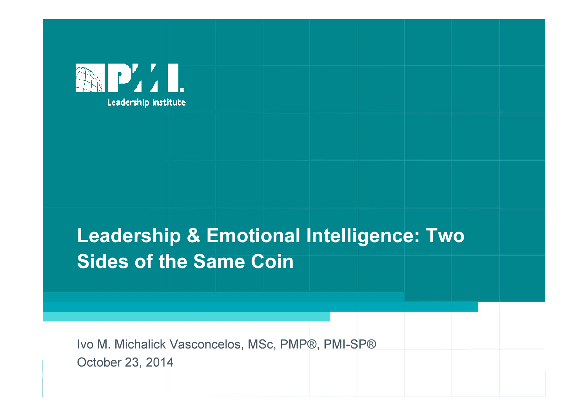

#### Leadership & Emotional Intelligence: Two Sides of the Same Coin

Ivo M. Michalick Vasconcelos, MSc, PMP®, PMI-SP®October 23, 2014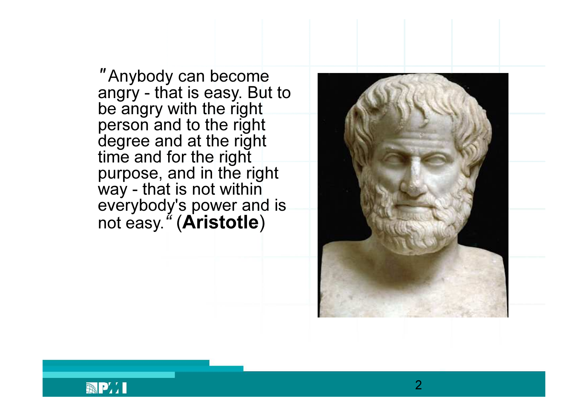" Anybody can become angry - that is easy. But to<br>be angry with the right<br>person and to the right<br>degree and at the right<br>time and for the right<br>purpose, and in the right<br>way - that is not within<br>everybody's power and is<br>not easy. " (**Aristotl** )



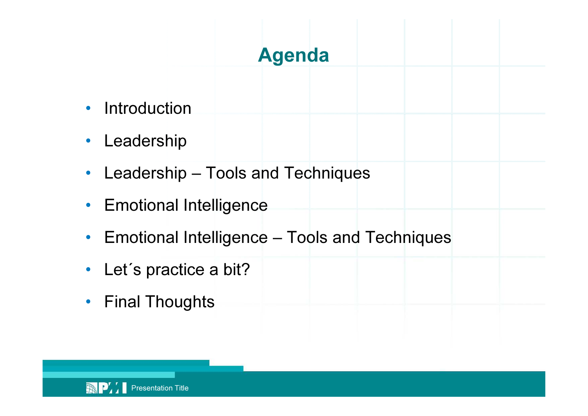#### Agenda

- •Introduction
- •Leadership
- •Leadership – Tools and Techniques
- •Emotional Intelligence
- •Emotional Intelligence – Tools and Techniques
- Let's practice a bit?
- Final Thoughts

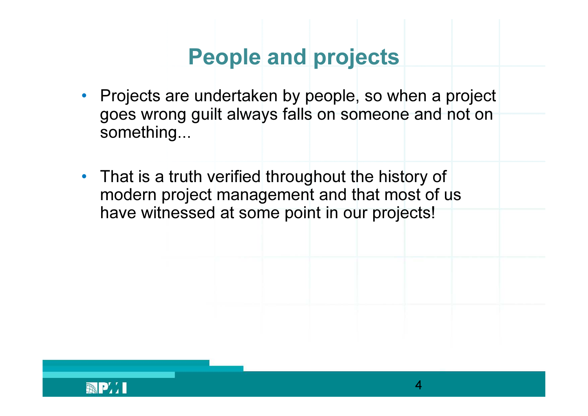## People and projects

- Projects are undertaken by people, so when a project goes wrong guilt always falls on someone and not onsomething...
- That is a truth verified throughout the history of modern project management and that most of us have witnessed at some point in our projects!

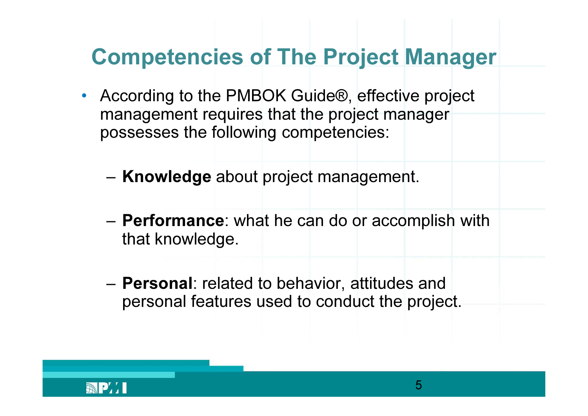## Competencies of The Project Manager

- $\bullet$  According to the PMBOK Guide®, effective project management requires that the project manager possesses the following competencies:
	- –– **Knowledge** about project management.
	-
	- **Performance**: what he can do or accomplish with that knowledge.<br>
	 **Personal**: related to behavior, attitudes and personal features used to conduct the project.<br>
	MI

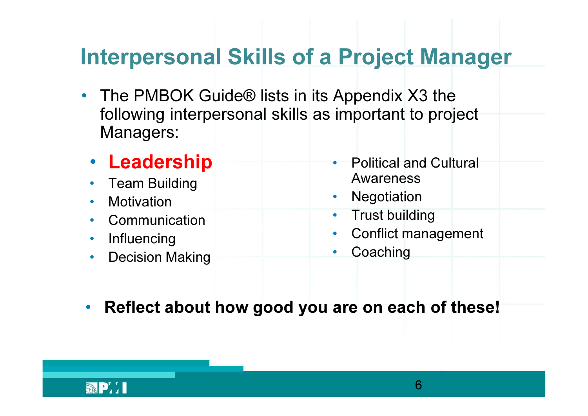## Interpersonal Skills of a Project Manager

- $\bullet$  The PMBOK Guide® lists in its Appendix X3 the following interpersonal skills as important to projectManagers:
	- Leadership
	- •• Team Building<br>Metivation
	- •**Motivation**
	- Communication •
	- •**Influencing**
	- Decision Making  $\bullet$
- • Political and Cultural Awareness
- Negotiation•
- Trust building  $\bullet$
- Conflict management  $\bullet$
- $\bullet$ **Coaching**
- •Reflect about how good you are on each of these!

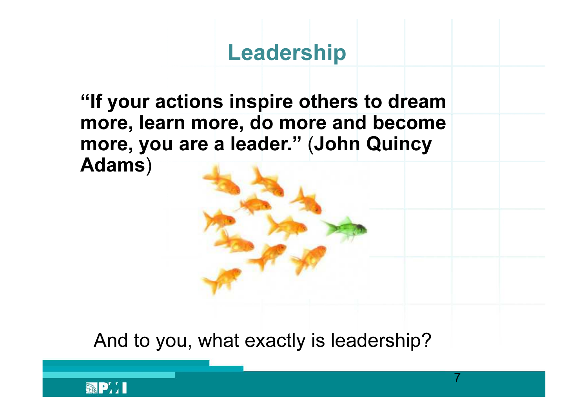#### Leadership

"If your actions inspire others to dream more, learn more, do more and become more, you are a leader." (John Quincy Adams)

And to you, what exactly is leadership?

7

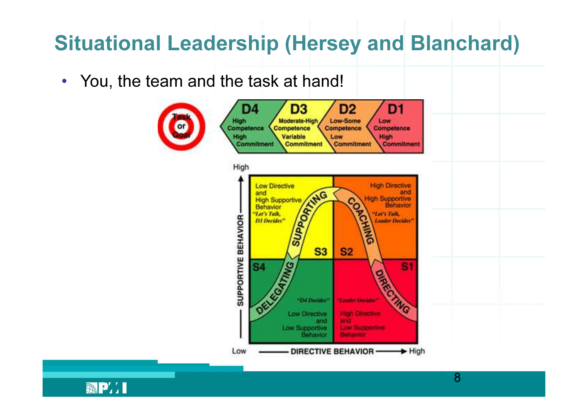## Situational Leadership (Hersey and Blanchard )

 $\bullet$ • You, the team and the task at hand!



**APTI**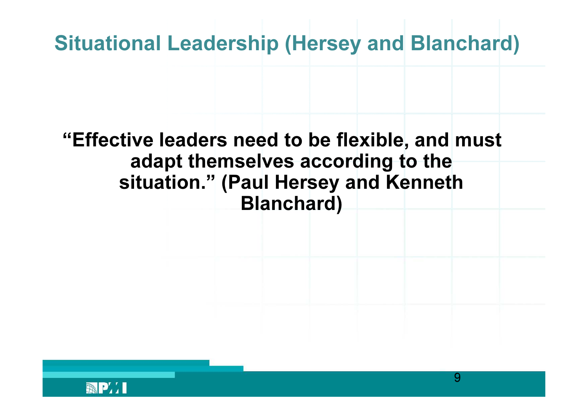## Situational Leadership (Hersey and Blanchard )

#### "Effective leaders need to be flexible, and must adapt themselves according to the<br>ituation " (Davil Usyssue and Kannet situation." (Paul Hersey and Kenneth Blanchard)

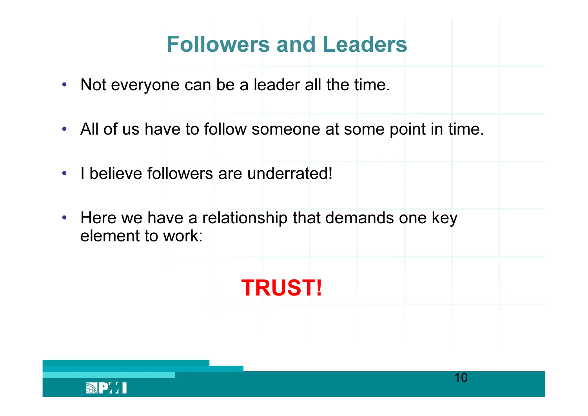# Followers and Leaders

- Not everyone can be a leader all the time.
- All of us have to follow someone at some point in time.
- I believe followers are underrated!
- Here we have a relationship that demands one keyelement to work:

TRUST!

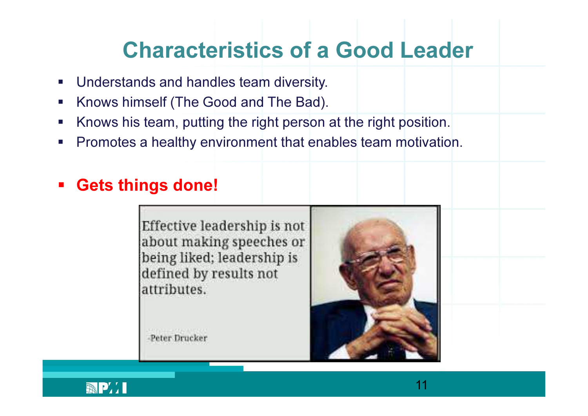#### Characteristics of a Good Leader

- $\blacksquare$ Understands and handles team diversity.
- $\mathcal{L}_{\mathcal{A}}$ Knows himself (The Good and The Bad).
- $\Box$ Knows his team, putting the right person at the right position.
- $\mathcal{L}_{\mathcal{A}}$ **Promotes a healthy environment that enables team motivation.**
- Gets things done!

Effective leadership is not about making speeches or being liked; leadership is defined by results not attributes.



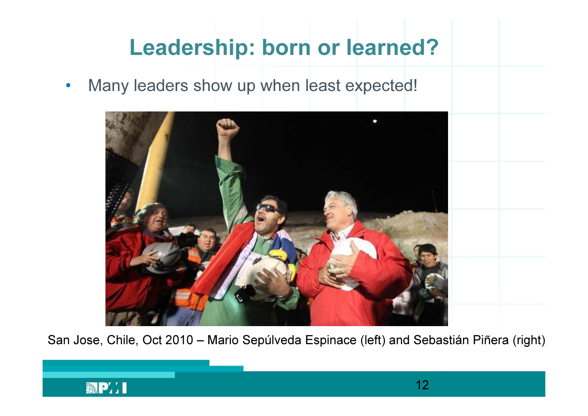## Leadership: born or learned?

•Many leaders show up when least expected!



San Jose, Chile, Oct 2010 – Mario Sepúlveda Espinace (left) and Sebastián Piñera (right)

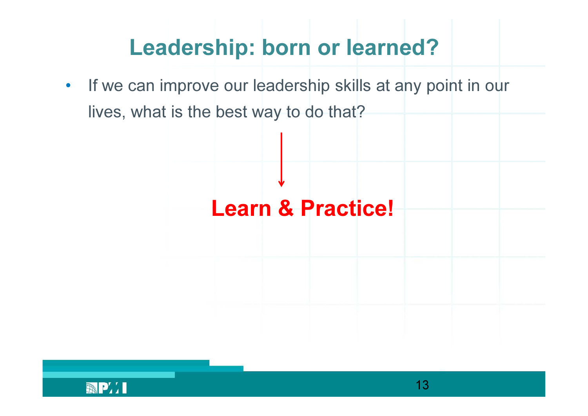## Leadership: born or learned?

•If we can improve our leadership skills at any point in our lives, what is the best way to do that?



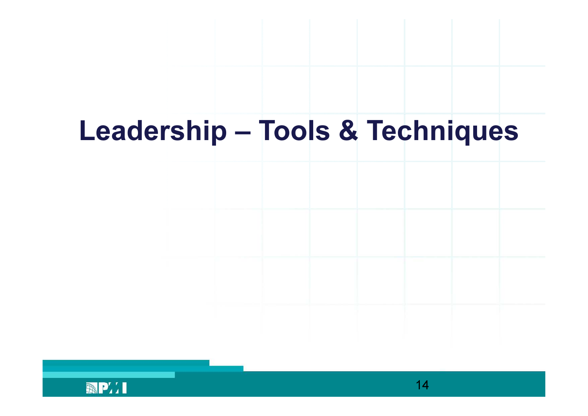# Leadership – Tools & Techniques

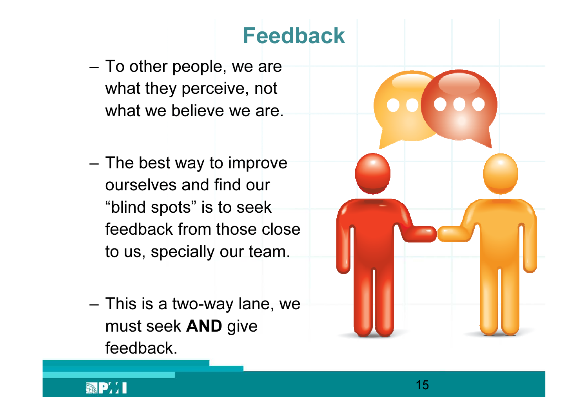#### Feedback

- – To other people, we are what they perceive, notwhat we believe we are.
- – The best way to improveourselves and find our"blind spots" is to seek feedback from those close<br>to use anotially syntages to us, specially our team.
- – This is a two-way lane, wemust seek **AND** give<br>´ feedback.



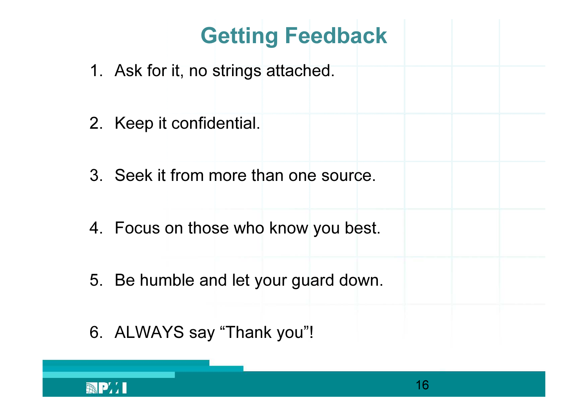# Getting Feedback

- 1. Ask for it, no strings attached.
- 2. Keep it confidential.
- 3. Seek it from more than one source.
- 4. Focus on those who know you best.
- 5. Be humble and let your guard down.
- 6. ALWAYS say "Thank you"!

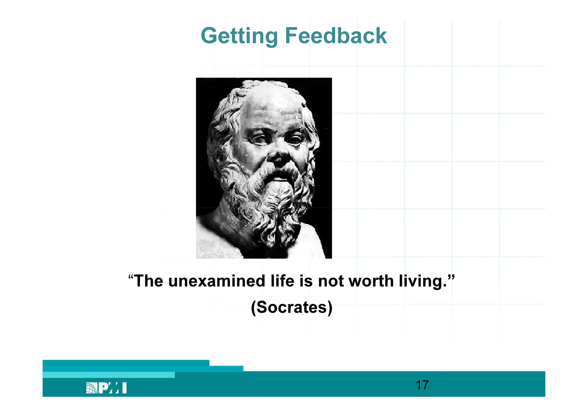## Getting Feedback



#### "The unexamined life is not worth living." (Socrates)

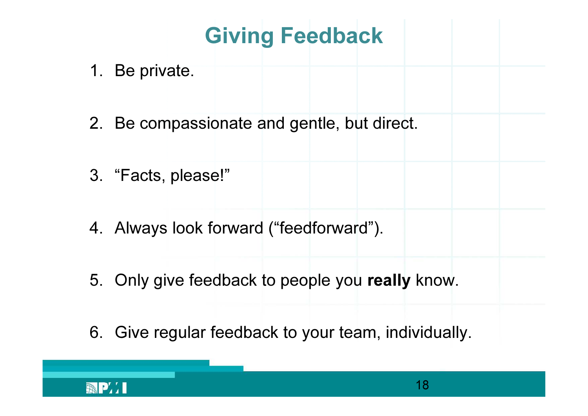Giving Feedback

- 1. Be private.
- 2. Be compassionate and gentle, but direct.
- 3. "Facts, please!"
- 4. Always look forward ("feedforward").
- 5. Only give feedback to people you **really** know.
- 6. Give regular feedback to your team, individually.

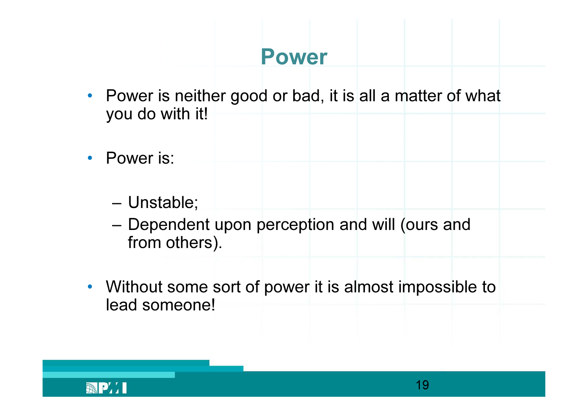#### Power

- Power is neither good or bad, it is all a matter of what you do with it!
- Power is:
	- –Unstable;
	- – Dependent upon perception and will (ours andfrom others).
- Without some sort of power it is almost impossible to lead someone!

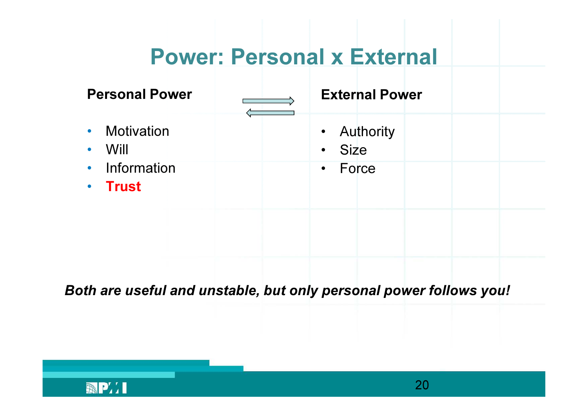#### Power: Personal x External

| <b>Personal Power</b>                                         | <b>External Power</b>                       |
|---------------------------------------------------------------|---------------------------------------------|
| • Motivation<br>Will<br>$\bullet$<br>• Information<br>• Trust | • Authority<br>· Size<br>Force<br>$\bullet$ |
|                                                               |                                             |

Both are useful and unstable, but only personal power follows you!

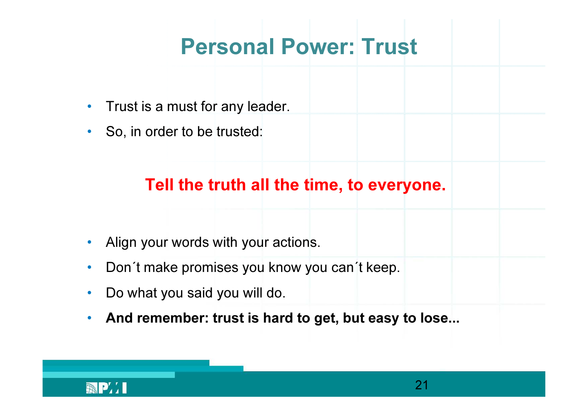#### Personal Power: Trust

- •Trust is a must for any leader.
- So, in order to be trusted:

#### Tell the truth all the time, to everyone.

- Align your words with your actions.
- $\bullet$ Don´t make promises you know you can´t keep.
- •Do what you said you will do.
- $\bullet$ And remember: trust is hard to get, but easy to lose...

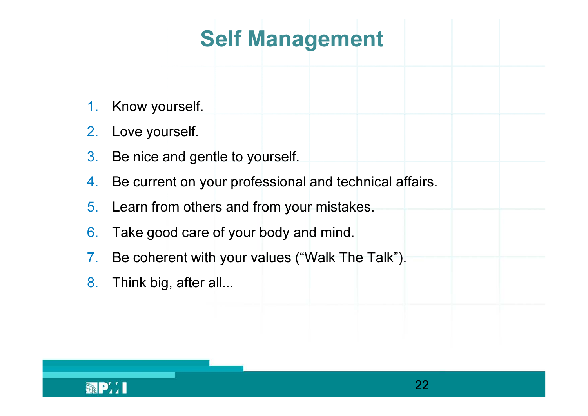### Self Management

- 1.Know yourself.
- 2.Love yourself.
- 3.Be nice and gentle to yourself.
- 4.Be current on your professional and technical affairs.
- 5.. Learn from others and from your mistakes.
- 
- 6. Take good care of your body and mind.<br>7. Be coherent with your values ("Walk The Talk").<br>8. Think big, after all...<br>8. Think big, after all...
- 

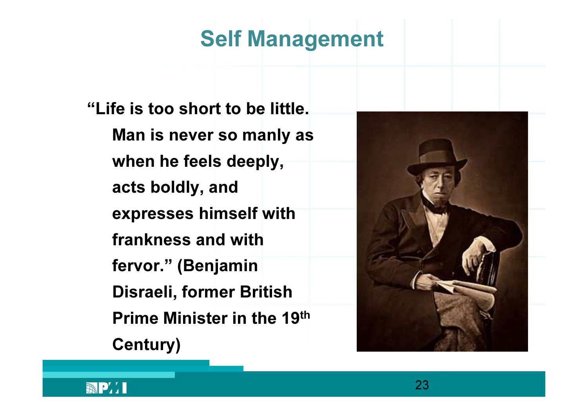#### Self Management

"Life is too short to be little. Man is never so manly as when he feels deeply, acts boldly, and expresses himself with frankness and with fervor." (Benjamin Disraeli, former British Prime Minister in the 19thCentury)



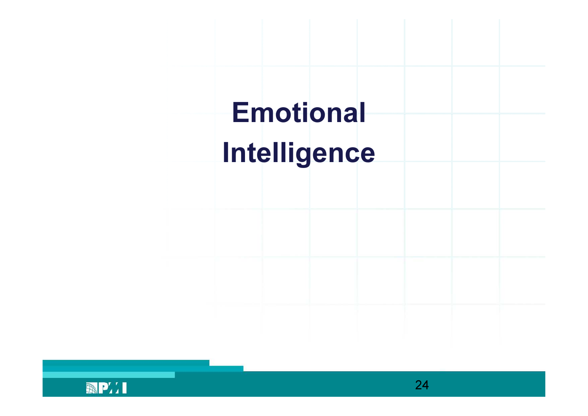

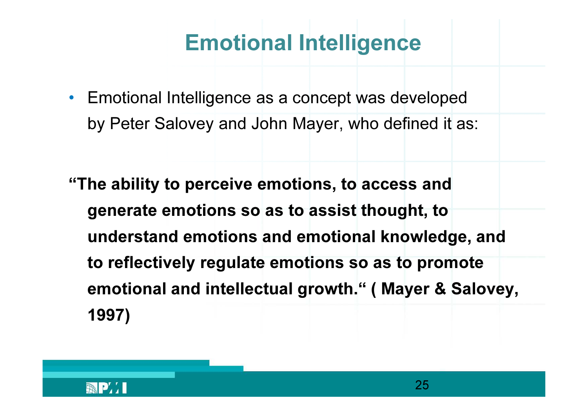- Emotional Intelligence as a concept was developed by Peter Salovey and John Mayer, who defined it as:
- "The ability to perceive emotions, to access and generate emotions so as to assist thought, to understand emotions and emotional knowledge, and to reflectively regulate emotions so as to promote emotional and intellectual growth." ( Mayer & Salovey, 1997)

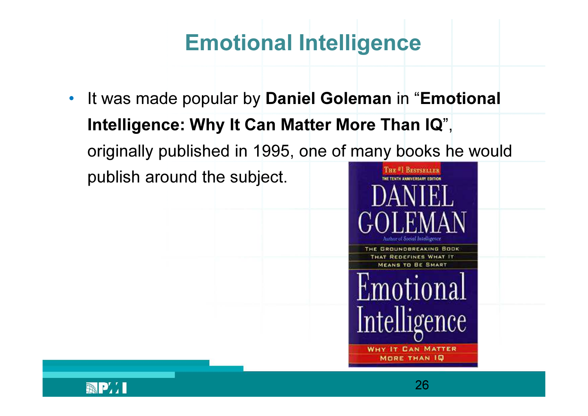• It was made popular by Daniel Goleman in "Emotional Intelligence: Why It Can Matter More Than IQ", originally published in 1995, one of many books he wouldTHE #1 BESTSELLER publish around the subject.



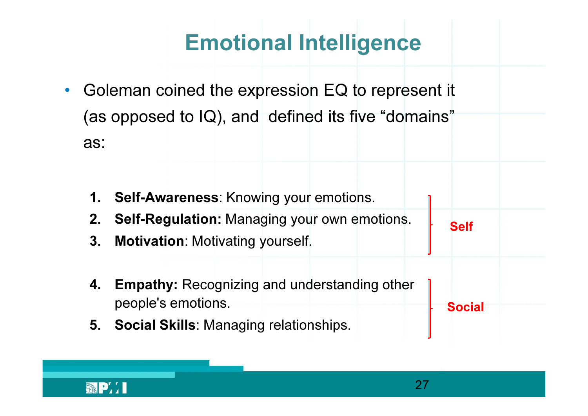- $\bullet$  Goleman coined the expression EQ to represent it (as opposed to IQ), and defined its five "domains" as:
	- 1. Self-Awareness: Knowing your emotions.
	- 2. Self-Regulation: Managing your own emotions.
	- 3. Motivation: Motivating yourself.
	- 4. Empathy: Recognizing and understanding other people's emotions.
	- 5. Social Skills: Managing relationships.



Self

Social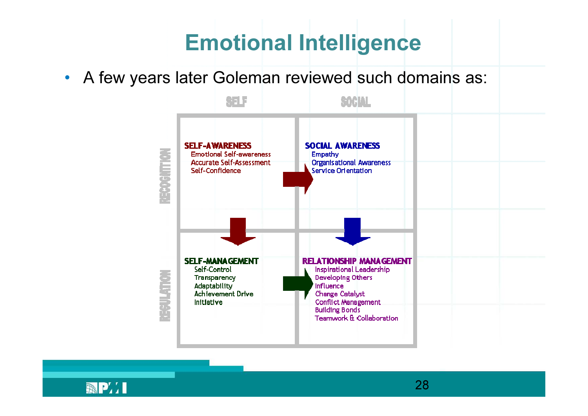• A few years later Goleman reviewed such domains as:



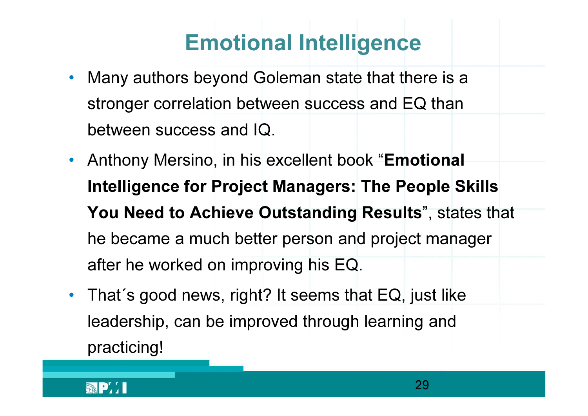- • Many authors beyond Goleman state that there is a stronger correlation between success and EQ thanbetween success and IQ.
- Anthony Mersino, in his excellent book "Emotional Intelligence for Project Managers: The People Skills You Need to Achieve Outstanding Results", states that he became a much better person and project manager after he worked on improving his EQ.
- That´s good news, right? It seems that EQ, just like leadership, can be improved through learning and practicing!

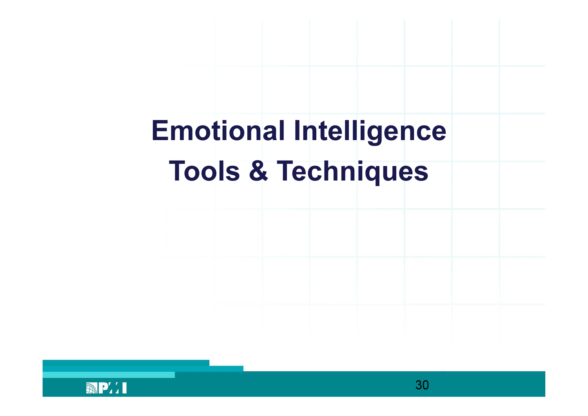# Emotional IntelligenceTools & Techniques

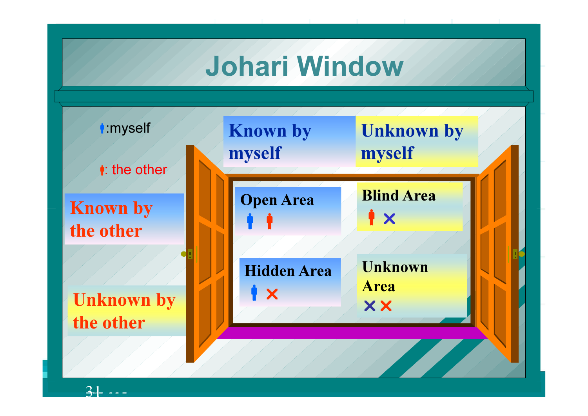#### Johari Window

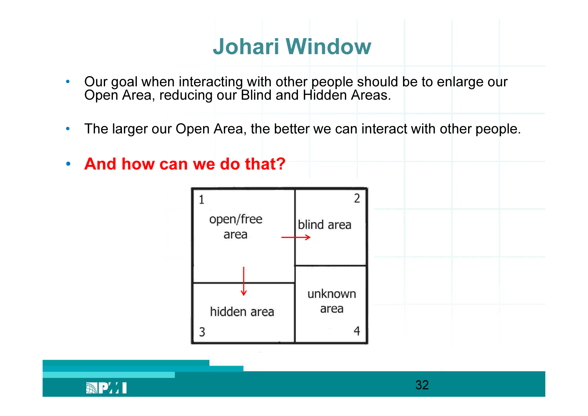#### Johari Window

- •• Our goal when interacting with other people should be to enlarge our Open Area, reducing our Blind and Hidden Areas.
- •The larger our Open Area, the better we can interact with other people.
- $\bullet$ • And how can we do that?



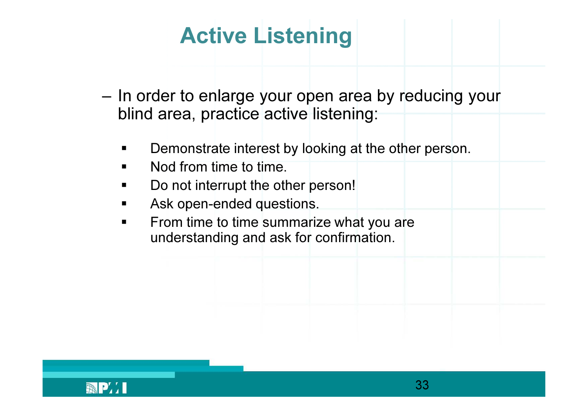- –In order to enlarge your open area by reducing your blind area, practice active listening:**Active Listening**<br>to enlarge your open area, practice active listen<br>onstrate interest by looking<br>from time to time.<br>ot interrupt the other person<br>open-ended questions.
	- Demonstrate interest by looking at the other person.
	- ٠ ■ Nod from time to time.
	- Do not interrupt the other person!
	- ٠ Ask open-ended
	- From time to time summarize what you are<br>understanding and ask for confirmation  $\blacksquare$ understanding and ask for confirmation.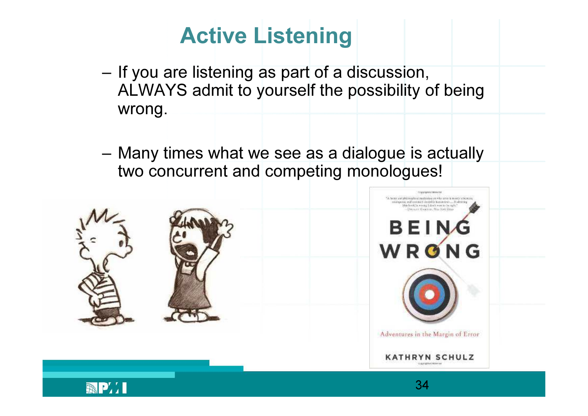## Active Listening

- – If you are listening as part of a discussion, ALWAYS admit to yourself the possibility of beingwrong.
- – Many times what we see as a dialogue is actuallytwo concurrent and competing monologues!





34

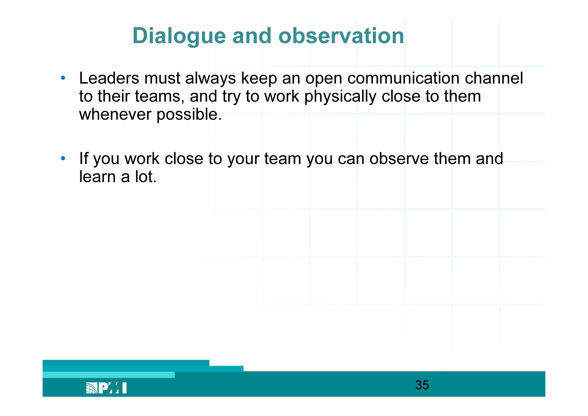## Dialogue and observation

- Leaders must always keep an open communication channel to their teams, and try to work physically close to themwhenever possible.
- $\bullet$ If you work close to your team you can observe them and<br>learn a lot learn a lot.

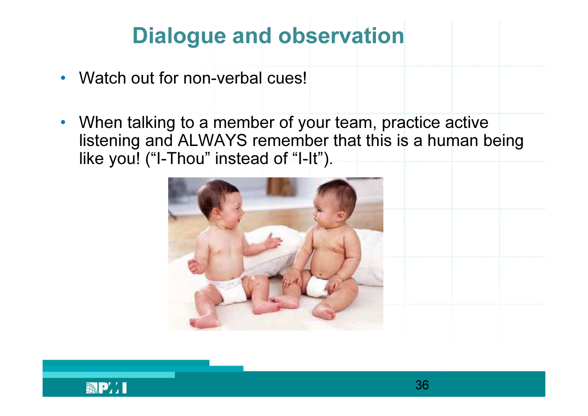# Dialogue and observation

- $\bullet$ Watch out for non-verbal cues!
- $\bullet$  When talking to a member of your team, practice active listening and ALWAYS remember that this is a human beinglike you! ("I-Thou" instead of "I-It").



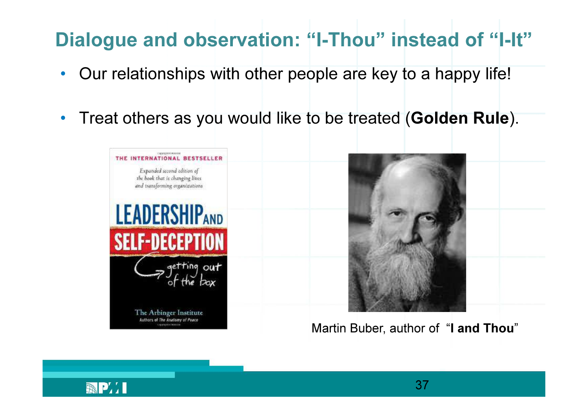## Dialogue and observation: "I-Thou" instead of "I-It"

- $\bullet$ Our relationships with other people are key to a happy life!
- $\bullet$ Treat others as you would like to be treated (Golden Rule).





Martin Buber, author of "I and Thou"

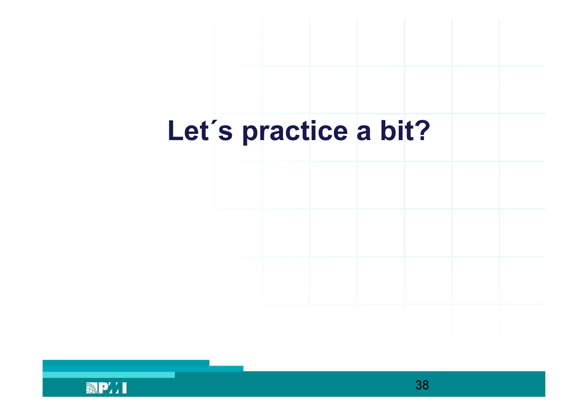# Let´s practice a bit?

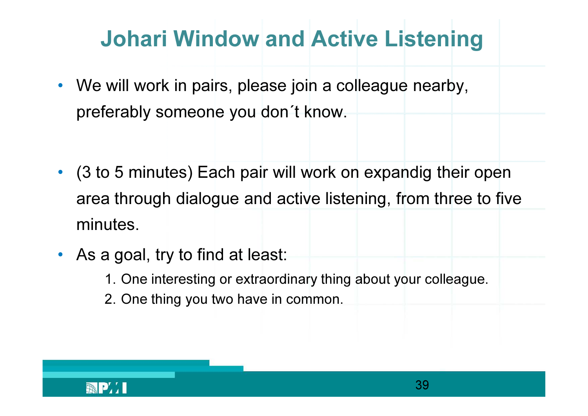# Johari Window and Active Listening

- We will work in pairs, please join a colleague nearby, preferably someone you don´t know.
- (3 to 5 minutes) Each pair will work on expandig their open area through dialogue and active listening, from three to five minutes.
- As a goal, try to find at least:
	- 1. One interesting or extraordinary thing about your colleague.
	- 2. One thing you two have in common.

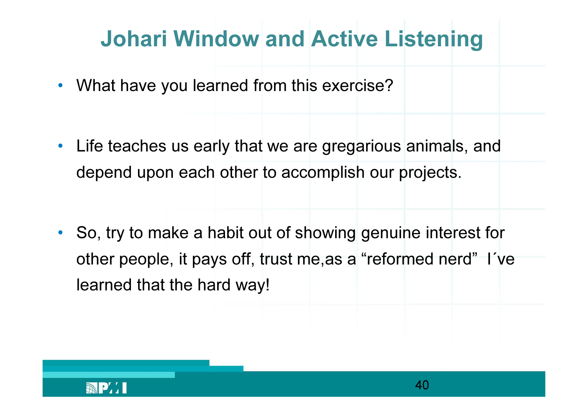# Johari Window and Active Listening

- What have you learned from this exercise?
- Life teaches us early that we are gregarious animals, anddepend upon each other to accomplish our projects.
- So, try to make a habit out of showing genuine interest for other people, it pays off, trust me,as a "reformed nerd" I´velearned that the hard way!

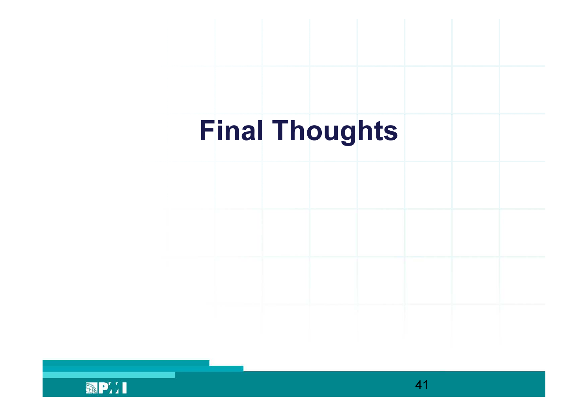## Final Thoughts

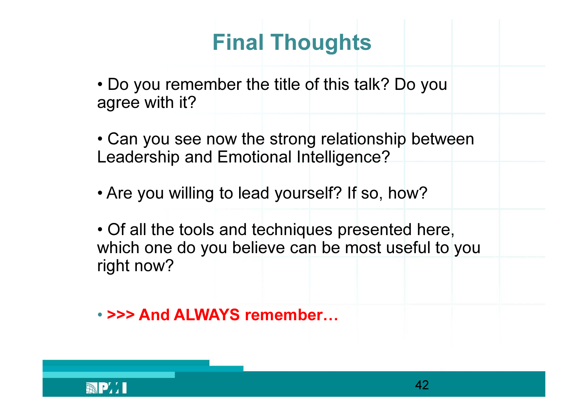### Final Thoughts

- Do you remember the title of this talk? Do you agree with it?
- Can you see now the strong relationship between Leadership and Emotional Intelligence?
- Are you willing to lead yourself? If so, how?
- Of all the tools and techniques presented here, which one do you believe can be most useful to youright now?
- >>> And ALWAYS remember...

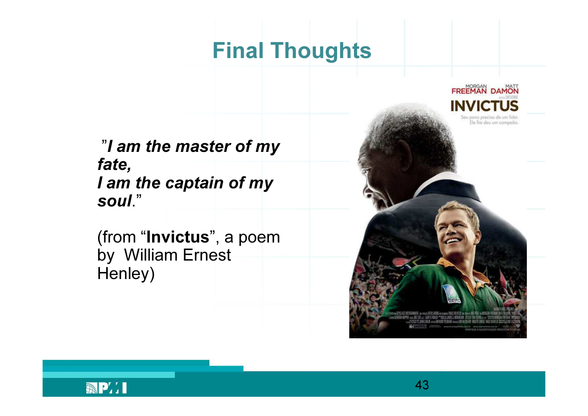#### Final Thoughts

"I am the master of my fate, I am the captain of my soul."

(from "Invictus", a poemby William Ernest Henley)

FREEMAN DAMON **INVICTUS** Ele lhe deu um campeão

43